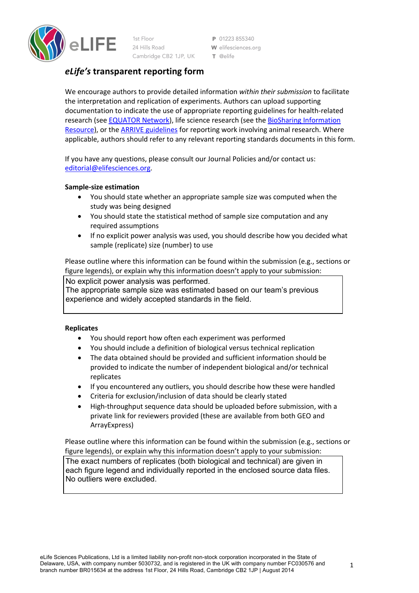

1st Floor 24 Hills Road Cambridge CB2 1JP, UK

P 01223 855340 W elifesciences.org T @elife

# *eLife's* **transparent reporting form**

We encourage authors to provide detailed information *within their submission* to facilitate the interpretation and replication of experiments. Authors can upload supporting documentation to indicate the use of appropriate reporting guidelines for health-related research (see EQUATOR Network), life science research (see the BioSharing Information Resource), or the ARRIVE guidelines for reporting work involving animal research. Where applicable, authors should refer to any relevant reporting standards documents in this form.

If you have any questions, please consult our Journal Policies and/or contact us: editorial@elifesciences.org.

## **Sample-size estimation**

- You should state whether an appropriate sample size was computed when the study was being designed
- You should state the statistical method of sample size computation and any required assumptions
- If no explicit power analysis was used, you should describe how you decided what sample (replicate) size (number) to use

Please outline where this information can be found within the submission (e.g., sections or figure legends), or explain why this information doesn't apply to your submission:

No explicit power analysis was performed.

The appropriate sample size was estimated based on our team's previous experience and widely accepted standards in the field.

## **Replicates**

- You should report how often each experiment was performed
- You should include a definition of biological versus technical replication
- The data obtained should be provided and sufficient information should be provided to indicate the number of independent biological and/or technical replicates
- If you encountered any outliers, you should describe how these were handled
- Criteria for exclusion/inclusion of data should be clearly stated
- High-throughput sequence data should be uploaded before submission, with a private link for reviewers provided (these are available from both GEO and ArrayExpress)

Please outline where this information can be found within the submission (e.g., sections or figure legends), or explain why this information doesn't apply to your submission:

The exact numbers of replicates (both biological and technical) are given in each figure legend and individually reported in the enclosed source data files. No outliers were excluded.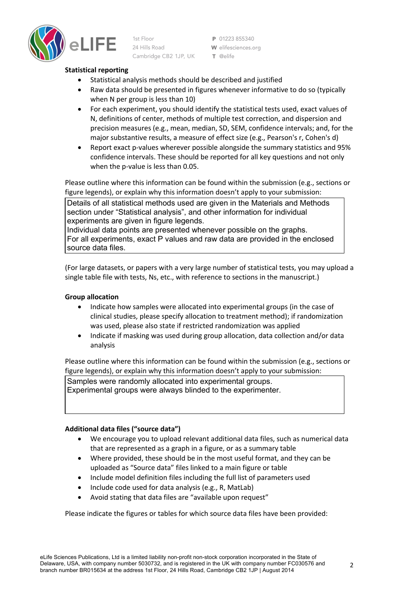

1st Floor 24 Hills Road Cambridge CB2 1JP, UK

P 01223 855340 W elifesciences.org T @elife

## **Statistical reporting**

- Statistical analysis methods should be described and justified
- Raw data should be presented in figures whenever informative to do so (typically when N per group is less than 10)
- For each experiment, you should identify the statistical tests used, exact values of N, definitions of center, methods of multiple test correction, and dispersion and precision measures (e.g., mean, median, SD, SEM, confidence intervals; and, for the major substantive results, a measure of effect size (e.g., Pearson's r, Cohen's d)
- Report exact p-values wherever possible alongside the summary statistics and 95% confidence intervals. These should be reported for all key questions and not only when the p-value is less than 0.05.

Please outline where this information can be found within the submission (e.g., sections or figure legends), or explain why this information doesn't apply to your submission:

Details of all statistical methods used are given in the Materials and Methods section under "Statistical analysis", and other information for individual experiments are given in figure legends.

Individual data points are presented whenever possible on the graphs. For all experiments, exact P values and raw data are provided in the enclosed source data files.

(For large datasets, or papers with a very large number of statistical tests, you may upload a single table file with tests, Ns, etc., with reference to sections in the manuscript.)

## **Group allocation**

- Indicate how samples were allocated into experimental groups (in the case of clinical studies, please specify allocation to treatment method); if randomization was used, please also state if restricted randomization was applied
- Indicate if masking was used during group allocation, data collection and/or data analysis

Please outline where this information can be found within the submission (e.g., sections or figure legends), or explain why this information doesn't apply to your submission:

Samples were randomly allocated into experimental groups. Experimental groups were always blinded to the experimenter.

## **Additional data files ("source data")**

- We encourage you to upload relevant additional data files, such as numerical data that are represented as a graph in a figure, or as a summary table
- Where provided, these should be in the most useful format, and they can be uploaded as "Source data" files linked to a main figure or table
- Include model definition files including the full list of parameters used
- Include code used for data analysis (e.g., R, MatLab)
- Avoid stating that data files are "available upon request"

Please indicate the figures or tables for which source data files have been provided: